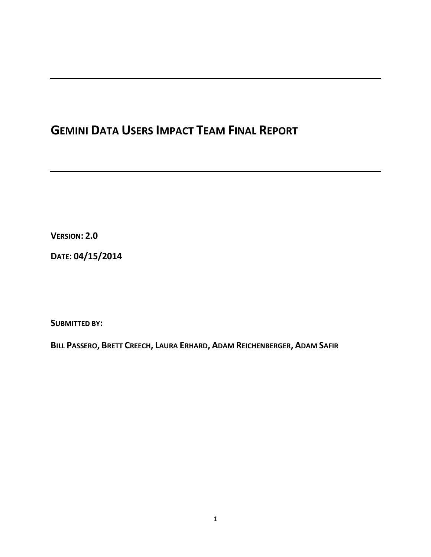# **GEMINI DATA USERS IMPACT TEAM FINAL REPORT**

**VERSION: 2.0**

**DATE: 04/15/2014**

**SUBMITTED BY:** 

BILL PASSERO, BRETT CREECH, LAURA ERHARD, ADAM REICHENBERGER, ADAM SAFIR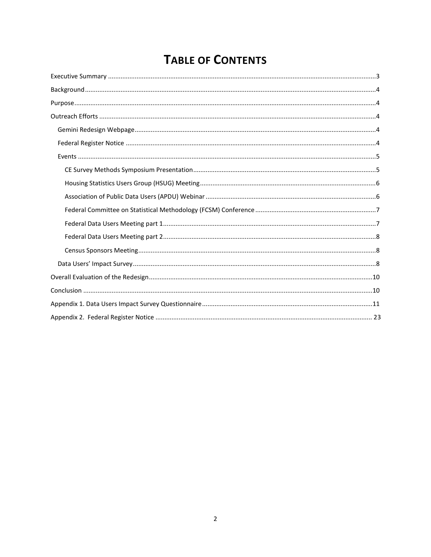# **TABLE OF CONTENTS**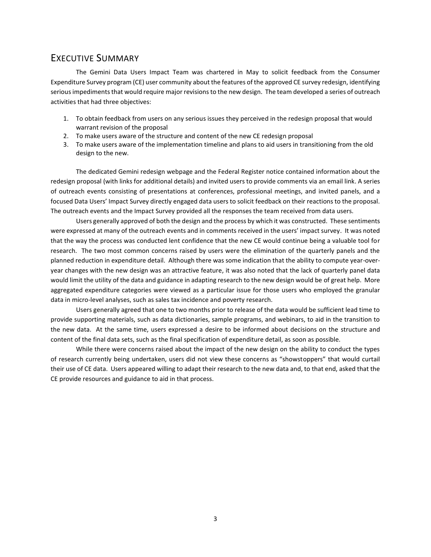# <span id="page-2-0"></span>EXECUTIVE SUMMARY

The Gemini Data Users Impact Team was chartered in May to solicit feedback from the Consumer Expenditure Survey program (CE) user community about the features of the approved CE survey redesign, identifying serious impediments that would require major revisions to the new design. The team developed a series of outreach activities that had three objectives:

- 1. To obtain feedback from users on any serious issues they perceived in the redesign proposal that would warrant revision of the proposal
- 2. To make users aware of the structure and content of the new CE redesign proposal
- 3. To make users aware of the implementation timeline and plans to aid users in transitioning from the old design to the new.

The dedicated Gemini redesign webpage and the Federal Register notice contained information about the redesign proposal (with links for additional details) and invited users to provide comments via an email link. A series of outreach events consisting of presentations at conferences, professional meetings, and invited panels, and a focused Data Users' Impact Survey directly engaged data users to solicit feedback on their reactions to the proposal. The outreach events and the Impact Survey provided all the responses the team received from data users.

Users generally approved of both the design and the process by which it was constructed. These sentiments were expressed at many of the outreach events and in comments received in the users' impact survey. It was noted that the way the process was conducted lent confidence that the new CE would continue being a valuable tool for research. The two most common concerns raised by users were the elimination of the quarterly panels and the planned reduction in expenditure detail. Although there was some indication that the ability to compute year-overyear changes with the new design was an attractive feature, it was also noted that the lack of quarterly panel data would limit the utility of the data and guidance in adapting research to the new design would be of great help. More aggregated expenditure categories were viewed as a particular issue for those users who employed the granular data in micro-level analyses, such as sales tax incidence and poverty research.

Users generally agreed that one to two months prior to release of the data would be sufficient lead time to provide supporting materials, such as data dictionaries, sample programs, and webinars, to aid in the transition to the new data. At the same time, users expressed a desire to be informed about decisions on the structure and content of the final data sets, such as the final specification of expenditure detail, as soon as possible.

While there were concerns raised about the impact of the new design on the ability to conduct the types of research currently being undertaken, users did not view these concerns as "showstoppers" that would curtail their use of CE data. Users appeared willing to adapt their research to the new data and, to that end, asked that the CE provide resources and guidance to aid in that process.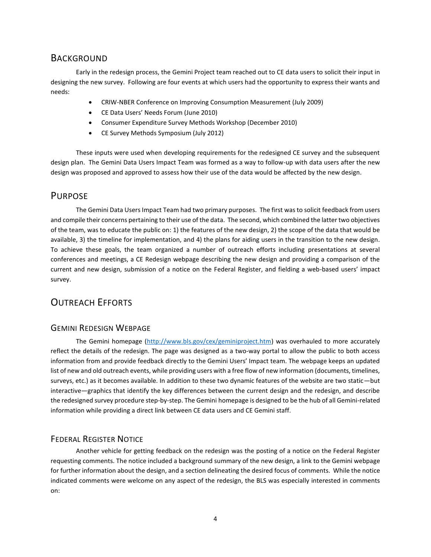# <span id="page-3-0"></span>**BACKGROUND**

Early in the redesign process, the Gemini Project team reached out to CE data users to solicit their input in designing the new survey. Following are four events at which users had the opportunity to express their wants and needs:

- CRIW-NBER Conference on Improving Consumption Measurement (July 2009)
- CE Data Users' Needs Forum (June 2010)
- Consumer Expenditure Survey Methods Workshop (December 2010)
- CE Survey Methods Symposium (July 2012)

These inputs were used when developing requirements for the redesigned CE survey and the subsequent design plan. The Gemini Data Users Impact Team was formed as a way to follow-up with data users after the new design was proposed and approved to assess how their use of the data would be affected by the new design.

## PURPOSE

The Gemini Data Users Impact Team had two primary purposes. The first was to solicit feedback from users and compile their concerns pertaining to their use of the data. The second, which combined the latter two objectives of the team, was to educate the public on: 1) the features of the new design, 2) the scope of the data that would be available, 3) the timeline for implementation, and 4) the plans for aiding users in the transition to the new design. To achieve these goals, the team organized a number of outreach efforts including presentations at several conferences and meetings, a CE Redesign webpage describing the new design and providing a comparison of the current and new design, submission of a notice on the Federal Register, and fielding a web-based users' impact survey.

# OUTREACH EFFORTS

## GEMINI REDESIGN WEBPAGE

The Gemini homepage [\(http://www.bls.gov/cex/geminiproject.htm\)](http://www.bls.gov/cex/geminiproject.htm) was overhauled to more accurately reflect the details of the redesign. The page was designed as a two-way portal to allow the public to both access information from and provide feedback directly to the Gemini Users' Impact team. The webpage keeps an updated list of new and old outreach events, while providing users with a free flow of new information (documents, timelines, surveys, etc.) as it becomes available. In addition to these two dynamic features of the website are two static—but interactive—graphics that identify the key differences between the current design and the redesign, and describe the redesigned survey procedure step-by-step. The Gemini homepage is designed to be the hub of all Gemini-related information while providing a direct link between CE data users and CE Gemini staff.

## FEDERAL REGISTER NOTICE

Another vehicle for getting feedback on the redesign was the posting of a notice on the Federal Register requesting comments. The notice included a background summary of the new design, a link to the Gemini webpage for further information about the design, and a section delineating the desired focus of comments. While the notice indicated comments were welcome on any aspect of the redesign, the BLS was especially interested in comments on: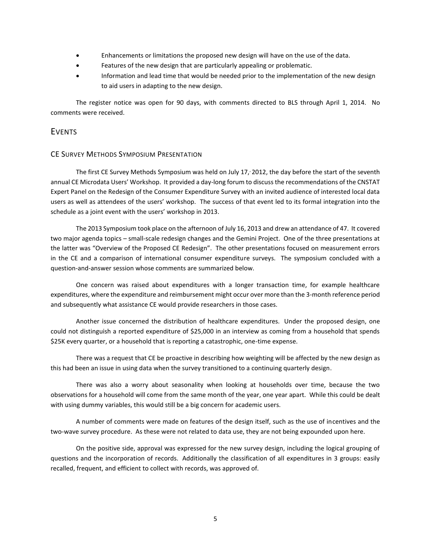- <span id="page-4-0"></span>Enhancements or limitations the proposed new design will have on the use of the data.
- Features of the new design that are particularly appealing or problematic.
- Information and lead time that would be needed prior to the implementation of the new design to aid users in adapting to the new design.

The register notice was open for 90 days, with comments directed to BLS through April 1, 2014. No comments were received.

#### EVENTS

#### CE SURVEY METHODS SYMPOSIUM PRESENTATION

The first CE Survey Methods Symposium was held on July 17,, 2012, the day before the start of the seventh annual CE Microdata Users' Workshop. It provided a day-long forum to discuss the recommendations of the CNSTAT Expert Panel on the Redesign of the Consumer Expenditure Survey with an invited audience of interested local data users as well as attendees of the users' workshop. The success of that event led to its formal integration into the schedule as a joint event with the users' workshop in 2013.

The 2013 Symposium took place on the afternoon of July 16, 2013 and drew an attendance of 47. It covered two major agenda topics – small-scale redesign changes and the Gemini Project. One of the three presentations at the latter was "Overview of the Proposed CE Redesign". The other presentations focused on measurement errors in the CE and a comparison of international consumer expenditure surveys. The symposium concluded with a question-and-answer session whose comments are summarized below.

One concern was raised about expenditures with a longer transaction time, for example healthcare expenditures, where the expenditure and reimbursement might occur over more than the 3-month reference period and subsequently what assistance CE would provide researchers in those cases.

Another issue concerned the distribution of healthcare expenditures. Under the proposed design, one could not distinguish a reported expenditure of \$25,000 in an interview as coming from a household that spends \$25K every quarter, or a household that is reporting a catastrophic, one-time expense.

There was a request that CE be proactive in describing how weighting will be affected by the new design as this had been an issue in using data when the survey transitioned to a continuing quarterly design.

There was also a worry about seasonality when looking at households over time, because the two observations for a household will come from the same month of the year, one year apart. While this could be dealt with using dummy variables, this would still be a big concern for academic users.

A number of comments were made on features of the design itself, such as the use of incentives and the two-wave survey procedure. As these were not related to data use, they are not being expounded upon here.

On the positive side, approval was expressed for the new survey design, including the logical grouping of questions and the incorporation of records. Additionally the classification of all expenditures in 3 groups: easily recalled, frequent, and efficient to collect with records, was approved of.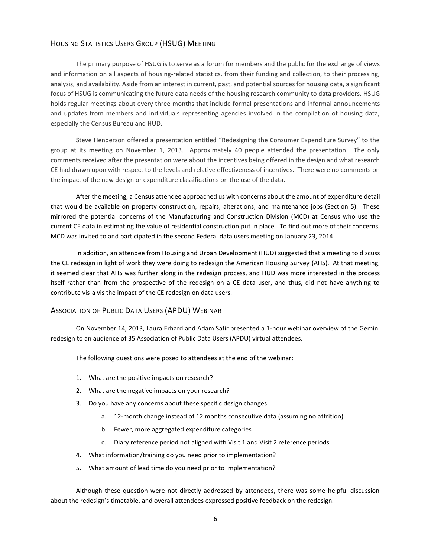#### <span id="page-5-0"></span>HOUSING STATISTICS USERS GROUP (HSUG) MEETING

The primary purpose of HSUG is to serve as a forum for members and the public for the exchange of views and information on all aspects of housing-related statistics, from their funding and collection, to their processing, analysis, and availability. Aside from an interest in current, past, and potential sources for housing data, a significant focus of HSUG is communicating the future data needs of the housing research community to data providers. HSUG holds regular meetings about every three months that include formal presentations and informal announcements and updates from members and individuals representing agencies involved in the compilation of housing data, especially the Census Bureau and HUD.

Steve Henderson offered a presentation entitled "Redesigning the Consumer Expenditure Survey" to the group at its meeting on November 1, 2013. Approximately 40 people attended the presentation. The only comments received after the presentation were about the incentives being offered in the design and what research CE had drawn upon with respect to the levels and relative effectiveness of incentives. There were no comments on the impact of the new design or expenditure classifications on the use of the data.

After the meeting, a Census attendee approached us with concerns about the amount of expenditure detail that would be available on property construction, repairs, alterations, and maintenance jobs (Section 5). These mirrored the potential concerns of the Manufacturing and Construction Division (MCD) at Census who use the current CE data in estimating the value of residential construction put in place. To find out more of their concerns, MCD was invited to and participated in the second Federal data users meeting on January 23, 2014.

In addition, an attendee from Housing and Urban Development (HUD) suggested that a meeting to discuss the CE redesign in light of work they were doing to redesign the American Housing Survey (AHS). At that meeting, it seemed clear that AHS was further along in the redesign process, and HUD was more interested in the process itself rather than from the prospective of the redesign on a CE data user, and thus, did not have anything to contribute vis-a vis the impact of the CE redesign on data users.

#### ASSOCIATION OF PUBLIC DATA USERS (APDU) WEBINAR

On November 14, 2013, Laura Erhard and Adam Safir presented a 1-hour webinar overview of the Gemini redesign to an audience of 35 Association of Public Data Users (APDU) virtual attendees.

The following questions were posed to attendees at the end of the webinar:

- 1. What are the positive impacts on research?
- 2. What are the negative impacts on your research?
- 3. Do you have any concerns about these specific design changes:
	- a. 12-month change instead of 12 months consecutive data (assuming no attrition)
	- b. Fewer, more aggregated expenditure categories
	- c. Diary reference period not aligned with Visit 1 and Visit 2 reference periods
- 4. What information/training do you need prior to implementation?
- 5. What amount of lead time do you need prior to implementation?

Although these question were not directly addressed by attendees, there was some helpful discussion about the redesign's timetable, and overall attendees expressed positive feedback on the redesign.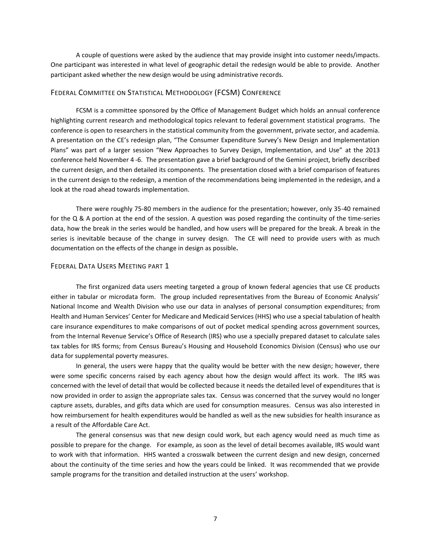<span id="page-6-0"></span>A couple of questions were asked by the audience that may provide insight into customer needs/impacts. One participant was interested in what level of geographic detail the redesign would be able to provide. Another participant asked whether the new design would be using administrative records.

#### FEDERAL COMMITTEE ON STATISTICAL METHODOLOGY (FCSM) CONFERENCE

FCSM is a committee sponsored by the Office of Management Budget which holds an annual conference highlighting current research and methodological topics relevant to federal government statistical programs. The conference is open to researchers in the statistical community from the government, private sector, and academia. A presentation on the CE's redesign plan, "The Consumer Expenditure Survey's New Design and Implementation Plans" was part of a larger session "New Approaches to Survey Design, Implementation, and Use" at the 2013 conference held November 4 -6. The presentation gave a brief background of the Gemini project, briefly described the current design, and then detailed its components. The presentation closed with a brief comparison of features in the current design to the redesign, a mention of the recommendations being implemented in the redesign, and a look at the road ahead towards implementation.

There were roughly 75-80 members in the audience for the presentation; however, only 35-40 remained for the Q & A portion at the end of the session. A question was posed regarding the continuity of the time-series data, how the break in the series would be handled, and how users will be prepared for the break. A break in the series is inevitable because of the change in survey design. The CE will need to provide users with as much documentation on the effects of the change in design as possible**.**

#### FEDERAL DATA USERS MEETING PART 1

The first organized data users meeting targeted a group of known federal agencies that use CE products either in tabular or microdata form. The group included representatives from the Bureau of Economic Analysis' National Income and Wealth Division who use our data in analyses of personal consumption expenditures; from Health and Human Services' Center for Medicare and Medicaid Services (HHS) who use a special tabulation of health care insurance expenditures to make comparisons of out of pocket medical spending across government sources, from the Internal Revenue Service's Office of Research (IRS) who use a specially prepared dataset to calculate sales tax tables for IRS forms; from Census Bureau's Housing and Household Economics Division (Census) who use our data for supplemental poverty measures.

In general, the users were happy that the quality would be better with the new design; however, there were some specific concerns raised by each agency about how the design would affect its work. The IRS was concerned with the level of detail that would be collected because it needs the detailed level of expenditures that is now provided in order to assign the appropriate sales tax. Census was concerned that the survey would no longer capture assets, durables, and gifts data which are used for consumption measures. Census was also interested in how reimbursement for health expenditures would be handled as well as the new subsidies for health insurance as a result of the Affordable Care Act.

The general consensus was that new design could work, but each agency would need as much time as possible to prepare for the change. For example, as soon as the level of detail becomes available, IRS would want to work with that information. HHS wanted a crosswalk between the current design and new design, concerned about the continuity of the time series and how the years could be linked. It was recommended that we provide sample programs for the transition and detailed instruction at the users' workshop.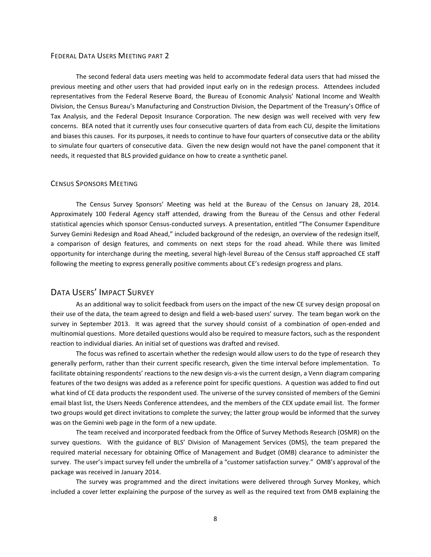#### <span id="page-7-0"></span>FEDERAL DATA USERS MEETING PART 2

The second federal data users meeting was held to accommodate federal data users that had missed the previous meeting and other users that had provided input early on in the redesign process. Attendees included representatives from the Federal Reserve Board, the Bureau of Economic Analysis' National Income and Wealth Division, the Census Bureau's Manufacturing and Construction Division, the Department of the Treasury's Office of Tax Analysis, and the Federal Deposit Insurance Corporation. The new design was well received with very few concerns. BEA noted that it currently uses four consecutive quarters of data from each CU, despite the limitations and biases this causes. For its purposes, it needs to continue to have four quarters of consecutive data or the ability to simulate four quarters of consecutive data. Given the new design would not have the panel component that it needs, it requested that BLS provided guidance on how to create a synthetic panel.

#### CENSUS SPONSORS MEETING

The Census Survey Sponsors' Meeting was held at the Bureau of the Census on January 28, 2014. Approximately 100 Federal Agency staff attended, drawing from the Bureau of the Census and other Federal statistical agencies which sponsor Census-conducted surveys. A presentation, entitled "The Consumer Expenditure Survey Gemini Redesign and Road Ahead," included background of the redesign, an overview of the redesign itself, a comparison of design features, and comments on next steps for the road ahead. While there was limited opportunity for interchange during the meeting, several high-level Bureau of the Census staff approached CE staff following the meeting to express generally positive comments about CE's redesign progress and plans.

#### DATA USERS' IMPACT SURVEY

As an additional way to solicit feedback from users on the impact of the new CE survey design proposal on their use of the data, the team agreed to design and field a web-based users' survey. The team began work on the survey in September 2013. It was agreed that the survey should consist of a combination of open-ended and multinomial questions. More detailed questions would also be required to measure factors, such as the respondent reaction to individual diaries. An initial set of questions was drafted and revised.

The focus was refined to ascertain whether the redesign would allow users to do the type of research they generally perform, rather than their current specific research, given the time interval before implementation. To facilitate obtaining respondents' reactions to the new design vis-a-vis the current design, a Venn diagram comparing features of the two designs was added as a reference point for specific questions. A question was added to find out what kind of CE data products the respondent used. The universe of the survey consisted of members of the Gemini email blast list, the Users Needs Conference attendees, and the members of the CEX update email list. The former two groups would get direct invitations to complete the survey; the latter group would be informed that the survey was on the Gemini web page in the form of a new update.

The team received and incorporated feedback from the Office of Survey Methods Research (OSMR) on the survey questions. With the guidance of BLS' Division of Management Services (DMS), the team prepared the required material necessary for obtaining Office of Management and Budget (OMB) clearance to administer the survey. The user's impact survey fell under the umbrella of a "customer satisfaction survey." OMB's approval of the package was received in January 2014.

The survey was programmed and the direct invitations were delivered through Survey Monkey, which included a cover letter explaining the purpose of the survey as well as the required text from OMB explaining the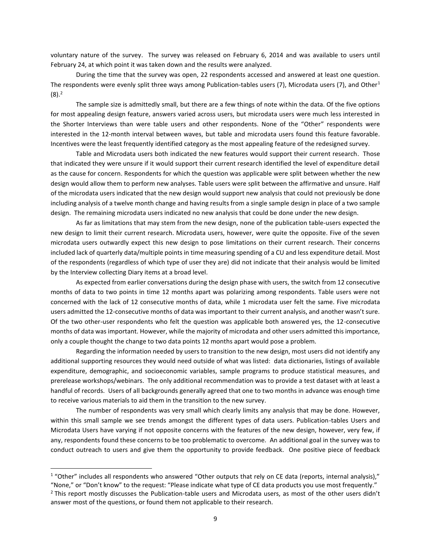voluntary nature of the survey. The survey was released on February 6, 2014 and was available to users until February 24, at which point it was taken down and the results were analyzed.

During the time that the survey was open, 22 respondents accessed and answered at least one question. The respondents were evenly split three ways among Publication-tables users (7), Microdata users (7), and Other<sup>1</sup>  $(8).<sup>2</sup>$ 

The sample size is admittedly small, but there are a few things of note within the data. Of the five options for most appealing design feature, answers varied across users, but microdata users were much less interested in the Shorter Interviews than were table users and other respondents. None of the "Other" respondents were interested in the 12-month interval between waves, but table and microdata users found this feature favorable. Incentives were the least frequently identified category as the most appealing feature of the redesigned survey.

Table and Microdata users both indicated the new features would support their current research. Those that indicated they were unsure if it would support their current research identified the level of expenditure detail as the cause for concern. Respondents for which the question was applicable were split between whether the new design would allow them to perform new analyses. Table users were split between the affirmative and unsure. Half of the microdata users indicated that the new design would support new analysis that could not previously be done including analysis of a twelve month change and having results from a single sample design in place of a two sample design. The remaining microdata users indicated no new analysis that could be done under the new design.

As far as limitations that may stem from the new design, none of the publication table-users expected the new design to limit their current research. Microdata users, however, were quite the opposite. Five of the seven microdata users outwardly expect this new design to pose limitations on their current research. Their concerns included lack of quarterly data/multiple points in time measuring spending of a CU and less expenditure detail. Most of the respondents (regardless of which type of user they are) did not indicate that their analysis would be limited by the Interview collecting Diary items at a broad level.

As expected from earlier conversations during the design phase with users, the switch from 12 consecutive months of data to two points in time 12 months apart was polarizing among respondents. Table users were not concerned with the lack of 12 consecutive months of data, while 1 microdata user felt the same. Five microdata users admitted the 12-consecutive months of data was important to their current analysis, and another wasn't sure. Of the two other-user respondents who felt the question was applicable both answered yes, the 12-consecutive months of data was important. However, while the majority of microdata and other users admitted this importance, only a couple thought the change to two data points 12 months apart would pose a problem.

Regarding the information needed by users to transition to the new design, most users did not identify any additional supporting resources they would need outside of what was listed: data dictionaries, listings of available expenditure, demographic, and socioeconomic variables, sample programs to produce statistical measures, and prerelease workshops/webinars. The only additional recommendation was to provide a test dataset with at least a handful of records. Users of all backgrounds generally agreed that one to two months in advance was enough time to receive various materials to aid them in the transition to the new survey.

The number of respondents was very small which clearly limits any analysis that may be done. However, within this small sample we see trends amongst the different types of data users. Publication-tables Users and Microdata Users have varying if not opposite concerns with the features of the new design, however, very few, if any, respondents found these concerns to be too problematic to overcome. An additional goal in the survey was to conduct outreach to users and give them the opportunity to provide feedback. One positive piece of feedback

 $\overline{a}$ 

 $1$  "Other" includes all respondents who answered "Other outputs that rely on CE data (reports, internal analysis),"

<sup>&</sup>quot;None," or "Don't know" to the request: "Please indicate what type of CE data products you use most frequently." <sup>2</sup> This report mostly discusses the Publication-table users and Microdata users, as most of the other users didn't answer most of the questions, or found them not applicable to their research.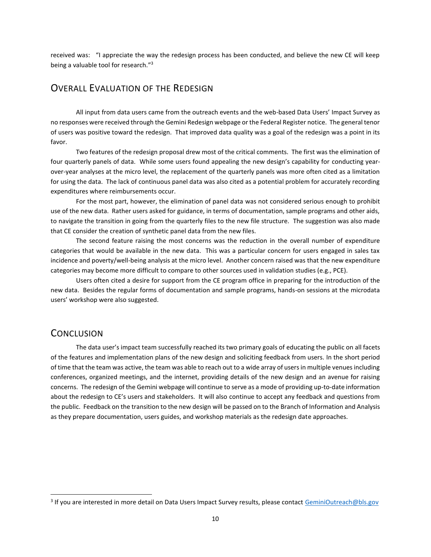<span id="page-9-0"></span>received was: "I appreciate the way the redesign process has been conducted, and believe the new CE will keep being a valuable tool for research."<sup>3</sup>

## OVERALL EVALUATION OF THE REDESIGN

All input from data users came from the outreach events and the web-based Data Users' Impact Survey as no responses were received through the Gemini Redesign webpage or the Federal Register notice. The general tenor of users was positive toward the redesign. That improved data quality was a goal of the redesign was a point in its favor.

Two features of the redesign proposal drew most of the critical comments. The first was the elimination of four quarterly panels of data. While some users found appealing the new design's capability for conducting yearover-year analyses at the micro level, the replacement of the quarterly panels was more often cited as a limitation for using the data. The lack of continuous panel data was also cited as a potential problem for accurately recording expenditures where reimbursements occur.

For the most part, however, the elimination of panel data was not considered serious enough to prohibit use of the new data. Rather users asked for guidance, in terms of documentation, sample programs and other aids, to navigate the transition in going from the quarterly files to the new file structure. The suggestion was also made that CE consider the creation of synthetic panel data from the new files.

The second feature raising the most concerns was the reduction in the overall number of expenditure categories that would be available in the new data. This was a particular concern for users engaged in sales tax incidence and poverty/well-being analysis at the micro level. Another concern raised was that the new expenditure categories may become more difficult to compare to other sources used in validation studies (e.g., PCE).

Users often cited a desire for support from the CE program office in preparing for the introduction of the new data. Besides the regular forms of documentation and sample programs, hands-on sessions at the microdata users' workshop were also suggested.

## **CONCLUSION**

The data user's impact team successfully reached its two primary goals of educating the public on all facets of the features and implementation plans of the new design and soliciting feedback from users. In the short period of time that the team was active, the team was able to reach out to a wide array of users in multiple venues including conferences, organized meetings, and the internet, providing details of the new design and an avenue for raising concerns. The redesign of the Gemini webpage will continue to serve as a mode of providing up-to-date information about the redesign to CE's users and stakeholders. It will also continue to accept any feedback and questions from the public. Feedback on the transition to the new design will be passed on to the Branch of Information and Analysis as they prepare documentation, users guides, and workshop materials as the redesign date approaches.

<sup>&</sup>lt;sup>3</sup> If you are interested in more detail on Data Users Impact Survey results, please contact <u>GeminiOutreach@bls.gov</u>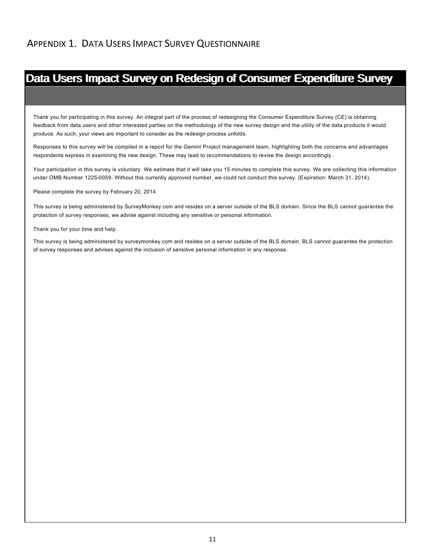<span id="page-10-0"></span>Thank you for participating in this survey. An integral part of the process of redesigning the Consumer Expenditure Survey (CE) is obtaining feedback from data users and other interested parties on the methodology of the new survey design and the utility of the data products it would produce. As such, your views are important to consider as the redesign process unfolds.

Responses to this survey will be compiled in a report for the Gemini Project management team, highlighting both the concerns and advantages respondents express in examining the new design. These may lead to recommendations to revise the design accordingly.

Your participation in this survey is voluntary. We estimate that it will take you 15 minutes to complete this survey. We are collecting this information under OMB Number 1225-0059. Without this currently approved number, we could not conduct this survey. (Expiration: March 31, 2014).

Please complete the survey by February 20, 2014.

This survey is being administered by SurveyMonkey.com and resides on a server outside of the BLS domain. Since the BLS cannot guarantee the protection of survey responses, we advise against including any sensitive or personal information.

Thank you for your time and help.

This survey is being administered by surveymonkey.com and resides on a server outside of the BLS domain. BLS cannot guarantee the protection of survey responses and advises against the inclusion of sensitive personal information in any response.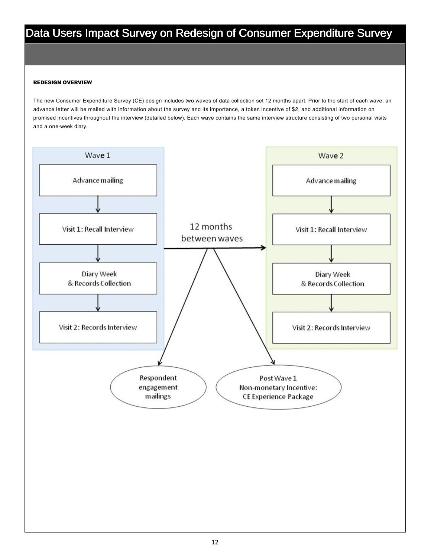#### REDESIGN OVERVIEW

The new Consumer Expenditure Survey (CE) design includes two waves of data collection set 12 months apart. Prior to the start of each wave, an advance letter will be mailed with information about the survey and its importance, a token incentive of \$2, and additional information on promised incentives throughout the interview (detailed below). Each wave contains the same interview structure consisting of two personal visits and a one-week diary.

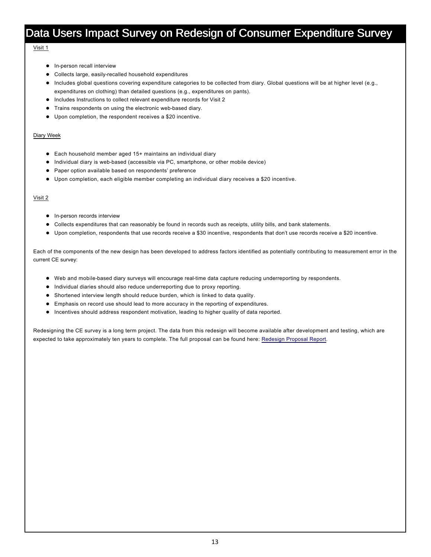#### Visit 1

- $\bullet$  In-person recall interview
- Collects large, easily-recalled household expenditures
- Includes global questions covering expenditure categories to be collected from diary. Global questions will be at higher level (e.g., expenditures on clothing) than detailed questions (e.g., expenditures on pants).
- Includes Instructions to collect relevant expenditure records for Visit 2
- **•** Trains respondents on using the electronic web-based diary.
- Upon completion, the respondent receives a \$20 incentive.

#### Diary Week

- $\bullet$  Each household member aged 15+ maintains an individual diary
- $\bullet$  Individual diary is web-based (accessible via PC, smartphone, or other mobile device)
- **•** Paper option available based on respondents' preference
- Upon completion, each eligible member completing an individual diary receives a \$20 incentive.

#### Visit 2

- $\bullet$  In-person records interview
- l Collects expenditures that can reasonably be found in records such as receipts, utility bills, and bank statements.
- l Upon completion, respondents that use records receive a \$30 incentive, respondents that don't use records receive a \$20 incentive.

Each of the components of the new design has been developed to address factors identified as potentially contributing to measurement error in the current CE survey:

- Web and mobile-based diary surveys will encourage real-time data capture reducing underreporting by respondents.
- $\bullet$  Individual diaries should also reduce underreporting due to proxy reporting.
- Shortened interview length should reduce burden, which is linked to data quality.
- **•** Emphasis on record use should lead to more accuracy in the reporting of expenditures.
- Incentives should address respondent motivation, leading to higher quality of data reported.

Redesigning the CE survey is a long term project. The data from this redesign will become available after development and testing, which are expected to take approximately ten years to complete. The full proposal can be found here: Redesign Proposal Report.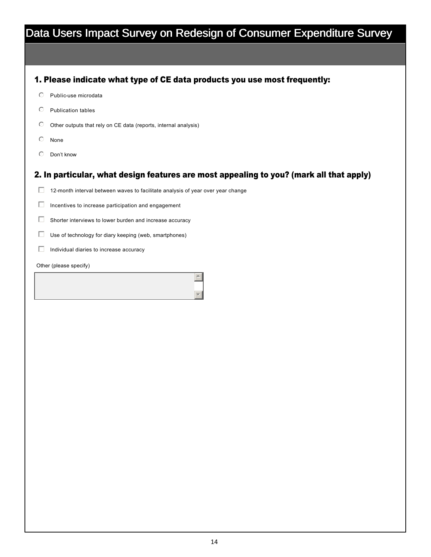## 1. Please indicate what type of CE data products you use most frequently:

- $O$  Public-use microdata
- $\heartsuit$  Publication tables
- $\heartsuit$  Other outputs that rely on CE data (reports, internal analysis)
- $\odot$  None
- $O$  Don't know

## 2. In particular, what design features are most appealing to you? (mark all that apply)

 $\blacktriangle$ 

 $\mathbf{v}$ 

- $\Box$  12-month interval between waves to facilitate analysis of year over year change
- $\Box$  Incentives to increase participation and engagement
- $\Box$  Shorter interviews to lower burden and increase accuracy
- $\Box$  Use of technology for diary keeping (web, smartphones)
- $\Box$  Individual diaries to increase accuracy
- Other (please specify)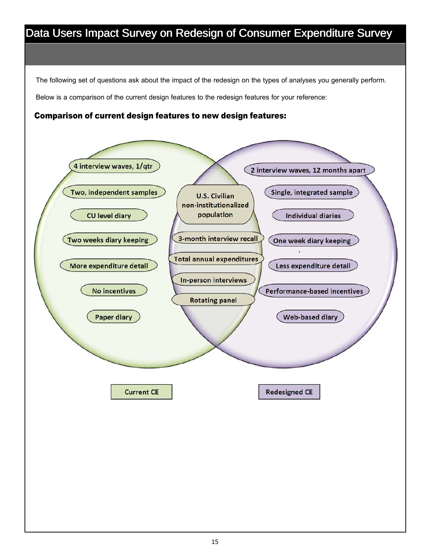The following set of questions ask about the impact of the redesign on the types of analyses you generally perform. Below is a comparison of the current design features to the redesign features for your reference:

Comparison of current design features to new design features:

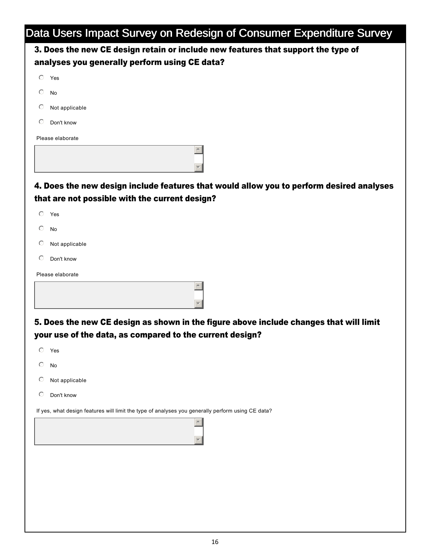| ÷<br>3. Does the new CE design retain or include new features that support the type of            |  |
|---------------------------------------------------------------------------------------------------|--|
| analyses you generally perform using CE data?                                                     |  |
| $O$ Yes                                                                                           |  |
| $\circ$<br>No                                                                                     |  |
| O<br>Not applicable                                                                               |  |
| Don't know<br>O                                                                                   |  |
| Please elaborate                                                                                  |  |
| $\blacktriangle$                                                                                  |  |
|                                                                                                   |  |
| 4. Does the new design include features that would allow you to perform desired analyses          |  |
| that are not possible with the current design?                                                    |  |
| $O$ Yes                                                                                           |  |
| $\circ$<br>No                                                                                     |  |
| Not applicable<br>O                                                                               |  |
| O<br>Don't know                                                                                   |  |
| Please elaborate                                                                                  |  |
|                                                                                                   |  |
|                                                                                                   |  |
| 5. Does the new CE design as shown in the figure above include changes that will limit            |  |
| your use of the data, as compared to the current design?                                          |  |
| $\circ$<br>Yes                                                                                    |  |
| C<br>No                                                                                           |  |
| Not applicable                                                                                    |  |
| Don't know<br>C                                                                                   |  |
| If yes, what design features will limit the type of analyses you generally perform using CE data? |  |
| $\blacktriangle$                                                                                  |  |
|                                                                                                   |  |
|                                                                                                   |  |
|                                                                                                   |  |
|                                                                                                   |  |
|                                                                                                   |  |
|                                                                                                   |  |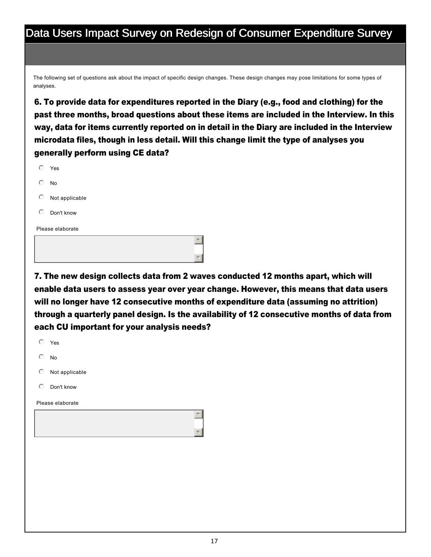The following set of questions ask about the impact of specific design changes. These design changes may pose limitations for some types of analyses.

6. To provide data for expenditures reported in the Diary (e.g., food and clothing) for the past three months, broad questions about these items are included in the Interview. In this way, data for items currently reported on in detail in the Diary are included in the Interview microdata files, though in less detail. Will this change limit the type of analyses you generally perform using CE data?

|            | Please elaborate |
|------------|------------------|
| ⊙          | Don't know       |
| $\circ$    | Not applicable   |
| $\bigcirc$ | <b>No</b>        |
| ∩          | Yes              |

7. The new design collects data from 2 waves conducted 12 months apart, which will enable data users to assess year over year change. However, this means that data users will no longer have 12 consecutive months of expenditure data (assuming no attrition) through a quarterly panel design. Is the availability of 12 consecutive months of data from each CU important for your analysis needs?

 $\mathbf{v}$ 

| $\circ$             | Yes              |  |
|---------------------|------------------|--|
| $\circlearrowright$ | $\mathsf{No}$    |  |
| $\bigcirc$          | Not applicable   |  |
| $\circ$             | Don't know       |  |
|                     | Please elaborate |  |
|                     | $\triangle$      |  |
|                     |                  |  |
|                     |                  |  |
|                     |                  |  |
|                     |                  |  |
|                     |                  |  |
|                     |                  |  |
|                     |                  |  |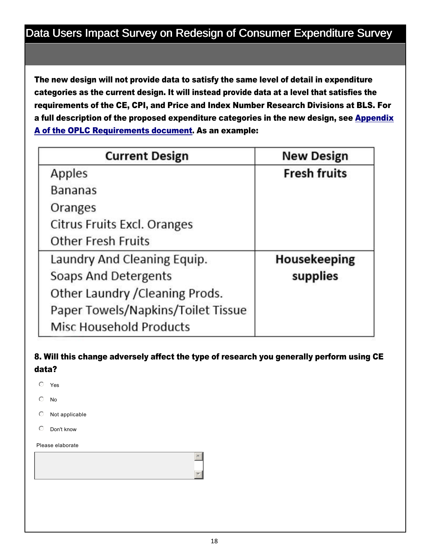The new design will not provide data to satisfy the same level of detail in expenditure categories as the current design. It will instead provide data at a level that satisfies the requirements of the CE, CPI, and Price and Index Number Research Divisions at BLS. For a full description of the proposed expenditure categories in the new design, see Appendix A of the OPLC Requirements document. As an example:

| <b>Current Design</b>              | <b>New Design</b>   |
|------------------------------------|---------------------|
| Apples                             | <b>Fresh fruits</b> |
| <b>Bananas</b>                     |                     |
| Oranges                            |                     |
| Citrus Fruits Excl. Oranges        |                     |
| <b>Other Fresh Fruits</b>          |                     |
| Laundry And Cleaning Equip.        | Housekeeping        |
| Soaps And Detergents               | supplies            |
| Other Laundry / Cleaning Prods.    |                     |
| Paper Towels/Napkins/Toilet Tissue |                     |
| <b>Misc Household Products</b>     |                     |

# 8. Will this change adversely affect the type of research you generally perform using CE data?

- $O$  Yes
- $\circ$  No
- $\heartsuit$  Not applicable
- $\heartsuit$  Don't know

#### Please elaborate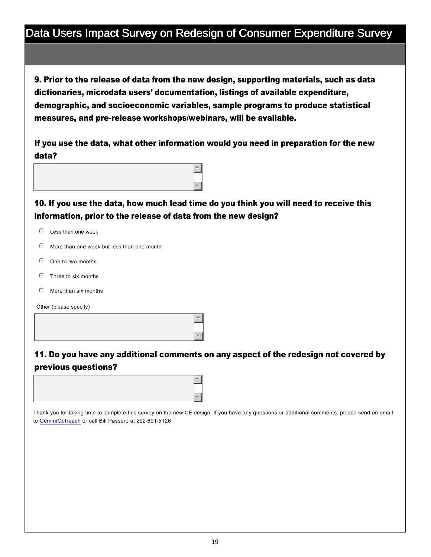9. Prior to the release of data from the new design, supporting materials, such as data dictionaries, microdata users' documentation, listings of available expenditure, demographic, and socioeconomic variables, sample programs to produce statistical measures, and pre-release workshops/webinars, will be available.

If you use the data, what other information would you need in preparation for the new data?



10. If you use the data, how much lead time do you think you will need to receive this information, prior to the release of data from the new design?

- $\heartsuit$  Less than one week
- $\heartsuit$  More than one week but less than one month
- $\circ$  One to two months
- $O$  Three to six months
- $\odot$  More than six months

Other (please specify)



# 11. Do you have any additional comments on any aspect of the redesign not covered by previous questions?

 $\mathbf{v}$ 



Thank you for taking time to complete this survey on the new CE design. If you have any questions or additional comments, please send an email to GeminiOutreach or call Bill Passero at 202-691-5126.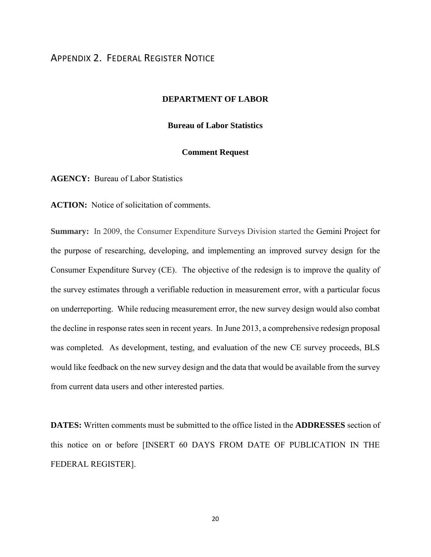## <span id="page-19-0"></span>APPENDIX 2. FEDERAL REGISTER NOTICE

#### **DEPARTMENT OF LABOR**

#### **Bureau of Labor Statistics**

#### **Comment Request**

**AGENCY:** Bureau of Labor Statistics

**ACTION:** Notice of solicitation of comments.

**Summary:** In 2009, the Consumer Expenditure Surveys Division started the Gemini Project for the purpose of researching, developing, and implementing an improved survey design for the Consumer Expenditure Survey (CE). The objective of the redesign is to improve the quality of the survey estimates through a verifiable reduction in measurement error, with a particular focus on underreporting. While reducing measurement error, the new survey design would also combat the decline in response rates seen in recent years. In June 2013, a comprehensive redesign proposal was completed. As development, testing, and evaluation of the new CE survey proceeds, BLS would like feedback on the new survey design and the data that would be available from the survey from current data users and other interested parties.

**DATES:** Written comments must be submitted to the office listed in the **ADDRESSES** section of this notice on or before [INSERT 60 DAYS FROM DATE OF PUBLICATION IN THE FEDERAL REGISTER].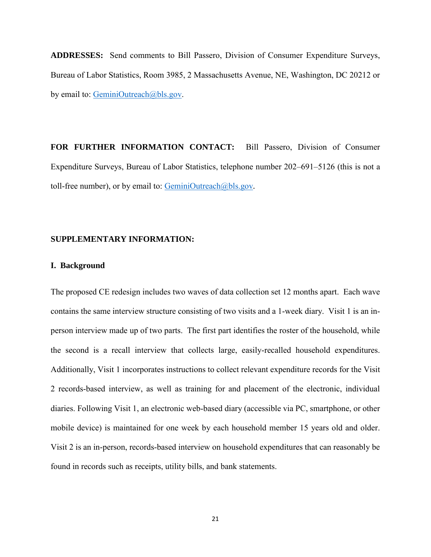**ADDRESSES:** Send comments to Bill Passero, Division of Consumer Expenditure Surveys, Bureau of Labor Statistics, Room 3985, 2 Massachusetts Avenue, NE, Washington, DC 20212 or by email to: [GeminiOutreach@bls.gov.](mailto:GeminiOutreach@bls.gov)

**FOR FURTHER INFORMATION CONTACT:** Bill Passero, Division of Consumer Expenditure Surveys, Bureau of Labor Statistics, telephone number 202–691–5126 (this is not a toll-free number), or by email to: [GeminiOutreach@bls.gov](mailto:GeminiOutreach@bls.gov)*.* 

#### **SUPPLEMENTARY INFORMATION:**

#### **I. Background**

The proposed CE redesign includes two waves of data collection set 12 months apart. Each wave contains the same interview structure consisting of two visits and a 1-week diary. Visit 1 is an inperson interview made up of two parts. The first part identifies the roster of the household, while the second is a recall interview that collects large, easily-recalled household expenditures. Additionally, Visit 1 incorporates instructions to collect relevant expenditure records for the Visit 2 records-based interview, as well as training for and placement of the electronic, individual diaries. Following Visit 1, an electronic web-based diary (accessible via PC, smartphone, or other mobile device) is maintained for one week by each household member 15 years old and older. Visit 2 is an in-person, records-based interview on household expenditures that can reasonably be found in records such as receipts, utility bills, and bank statements.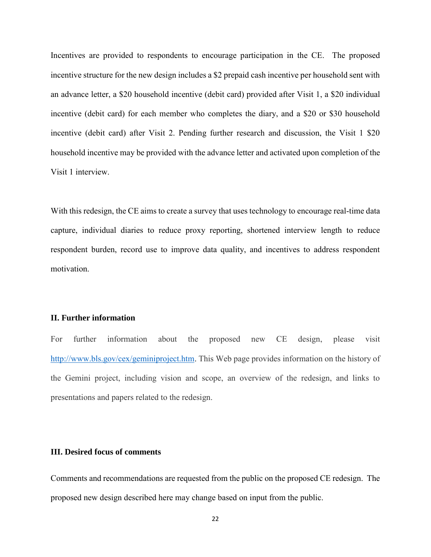Incentives are provided to respondents to encourage participation in the CE. The proposed incentive structure for the new design includes a \$2 prepaid cash incentive per household sent with an advance letter, a \$20 household incentive (debit card) provided after Visit 1, a \$20 individual incentive (debit card) for each member who completes the diary, and a \$20 or \$30 household incentive (debit card) after Visit 2. Pending further research and discussion, the Visit 1 \$20 household incentive may be provided with the advance letter and activated upon completion of the Visit 1 interview.

With this redesign, the CE aims to create a survey that uses technology to encourage real-time data capture, individual diaries to reduce proxy reporting, shortened interview length to reduce respondent burden, record use to improve data quality, and incentives to address respondent motivation.

#### **II. Further information**

For further information about the proposed new CE design, please visit [http://www.bls.gov/cex/geminiproject.htm.](http://www.bls.gov/cex/geminiproject.htm) This Web page provides information on the history of the Gemini project, including vision and scope, an overview of the redesign, and links to presentations and papers related to the redesign.

#### **III. Desired focus of comments**

Comments and recommendations are requested from the public on the proposed CE redesign. The proposed new design described here may change based on input from the public.